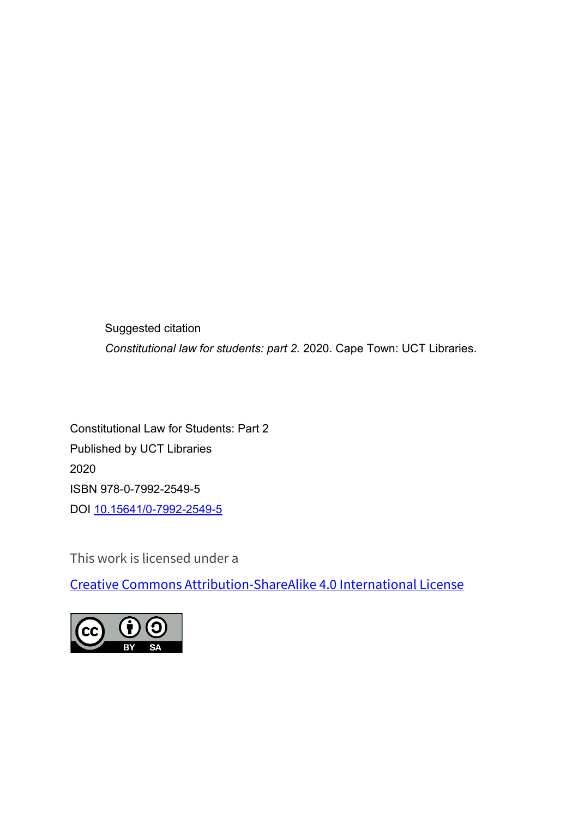Suggested citation *Constitutional law for students: part 2.* 2020. Cape Town: UCT Libraries.

Constitutional Law for Students: Part 2 Published by UCT Libraries 2020 ISBN 978-0-7992-2549-5 DOI [10.15641/0-7992-2549-5](https://doi.org/10.15641/0-7992-2549-5)

This work is licensed under a

[Creative Commons Attribution-ShareAlike 4.0 International License](https://creativecommons.org/licenses/by-sa/4.0/)

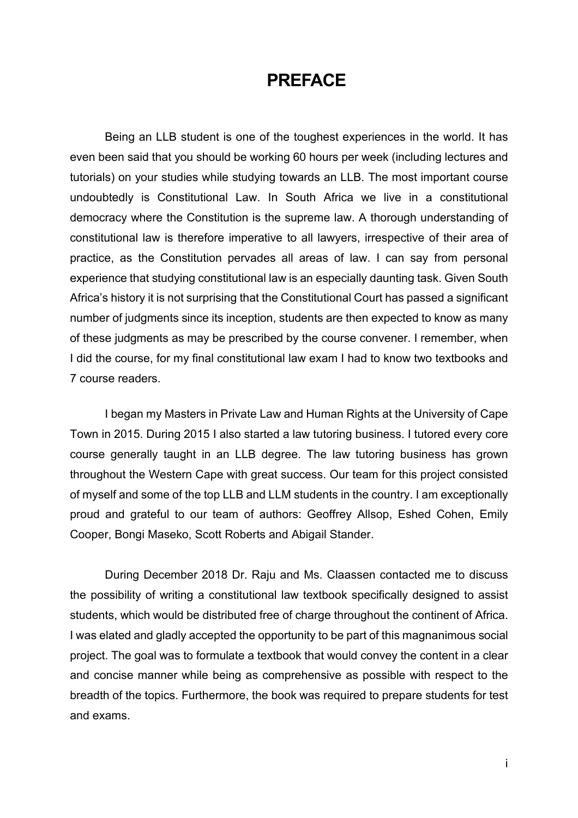## **PREFACE**

Being an LLB student is one of the toughest experiences in the world. It has even been said that you should be working 60 hours per week (including lectures and tutorials) on your studies while studying towards an LLB. The most important course undoubtedly is Constitutional Law. In South Africa we live in a constitutional democracy where the Constitution is the supreme law. A thorough understanding of constitutional law is therefore imperative to all lawyers, irrespective of their area of practice, as the Constitution pervades all areas of law. I can say from personal experience that studying constitutional law is an especially daunting task. Given South Africa's history it is not surprising that the Constitutional Court has passed a significant number of judgments since its inception, students are then expected to know as many of these judgments as may be prescribed by the course convener. I remember, when I did the course, for my final constitutional law exam I had to know two textbooks and 7 course readers.

I began my Masters in Private Law and Human Rights at the University of Cape Town in 2015. During 2015 I also started a law tutoring business. I tutored every core course generally taught in an LLB degree. The law tutoring business has grown throughout the Western Cape with great success. Our team for this project consisted of myself and some of the top LLB and LLM students in the country. I am exceptionally proud and grateful to our team of authors: Geoffrey Allsop, Eshed Cohen, Emily Cooper, Bongi Maseko, Scott Roberts and Abigail Stander.

During December 2018 Dr. Raju and Ms. Claassen contacted me to discuss the possibility of writing a constitutional law textbook specifically designed to assist students, which would be distributed free of charge throughout the continent of Africa. I was elated and gladly accepted the opportunity to be part of this magnanimous social project. The goal was to formulate a textbook that would convey the content in a clear and concise manner while being as comprehensive as possible with respect to the breadth of the topics. Furthermore, the book was required to prepare students for test and exams.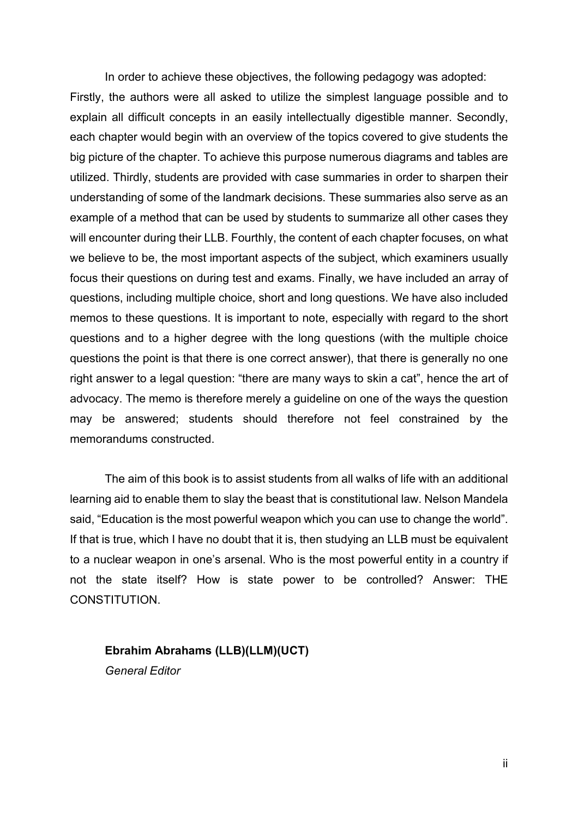In order to achieve these objectives, the following pedagogy was adopted: Firstly, the authors were all asked to utilize the simplest language possible and to explain all difficult concepts in an easily intellectually digestible manner. Secondly, each chapter would begin with an overview of the topics covered to give students the big picture of the chapter. To achieve this purpose numerous diagrams and tables are utilized. Thirdly, students are provided with case summaries in order to sharpen their understanding of some of the landmark decisions. These summaries also serve as an example of a method that can be used by students to summarize all other cases they will encounter during their LLB. Fourthly, the content of each chapter focuses, on what we believe to be, the most important aspects of the subject, which examiners usually focus their questions on during test and exams. Finally, we have included an array of questions, including multiple choice, short and long questions. We have also included memos to these questions. It is important to note, especially with regard to the short questions and to a higher degree with the long questions (with the multiple choice questions the point is that there is one correct answer), that there is generally no one right answer to a legal question: "there are many ways to skin a cat", hence the art of advocacy. The memo is therefore merely a guideline on one of the ways the question may be answered; students should therefore not feel constrained by the memorandums constructed.

The aim of this book is to assist students from all walks of life with an additional learning aid to enable them to slay the beast that is constitutional law. Nelson Mandela said, "Education is the most powerful weapon which you can use to change the world". If that is true, which I have no doubt that it is, then studying an LLB must be equivalent to a nuclear weapon in one's arsenal. Who is the most powerful entity in a country if not the state itself? How is state power to be controlled? Answer: THE CONSTITUTION.

**Ebrahim Abrahams (LLB)(LLM)(UCT)** *General Editor*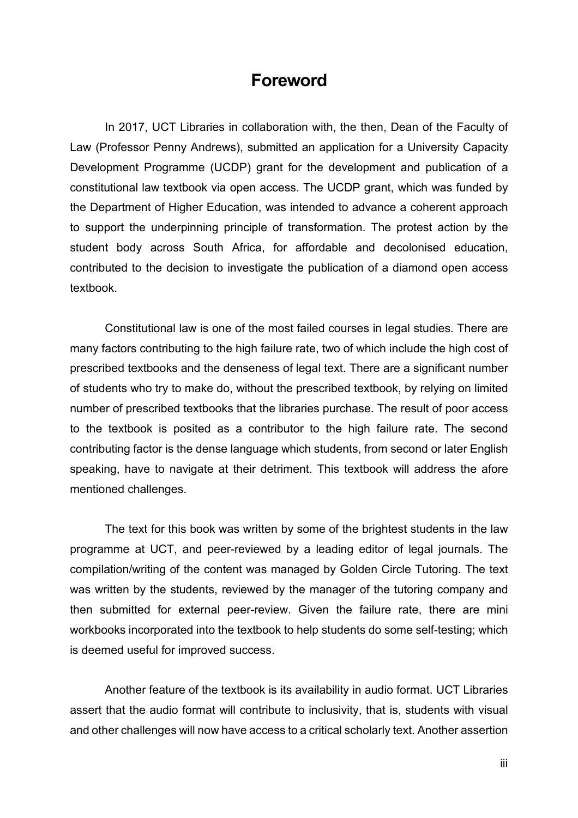### **Foreword**

In 2017, UCT Libraries in collaboration with, the then, Dean of the Faculty of Law (Professor Penny Andrews), submitted an application for a University Capacity Development Programme (UCDP) grant for the development and publication of a constitutional law textbook via open access. The UCDP grant, which was funded by the Department of Higher Education, was intended to advance a coherent approach to support the underpinning principle of transformation. The protest action by the student body across South Africa, for affordable and decolonised education, contributed to the decision to investigate the publication of a diamond open access textbook.

Constitutional law is one of the most failed courses in legal studies. There are many factors contributing to the high failure rate, two of which include the high cost of prescribed textbooks and the denseness of legal text. There are a significant number of students who try to make do, without the prescribed textbook, by relying on limited number of prescribed textbooks that the libraries purchase. The result of poor access to the textbook is posited as a contributor to the high failure rate. The second contributing factor is the dense language which students, from second or later English speaking, have to navigate at their detriment. This textbook will address the afore mentioned challenges.

The text for this book was written by some of the brightest students in the law programme at UCT, and peer-reviewed by a leading editor of legal journals. The compilation/writing of the content was managed by Golden Circle Tutoring. The text was written by the students, reviewed by the manager of the tutoring company and then submitted for external peer-review. Given the failure rate, there are mini workbooks incorporated into the textbook to help students do some self-testing; which is deemed useful for improved success.

Another feature of the textbook is its availability in audio format. UCT Libraries assert that the audio format will contribute to inclusivity, that is, students with visual and other challenges will now have access to a critical scholarly text. Another assertion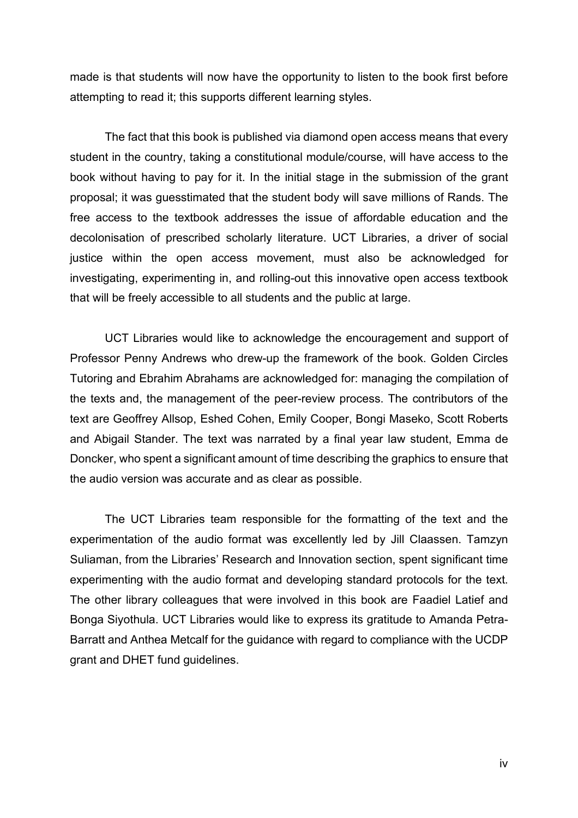made is that students will now have the opportunity to listen to the book first before attempting to read it; this supports different learning styles.

The fact that this book is published via diamond open access means that every student in the country, taking a constitutional module/course, will have access to the book without having to pay for it. In the initial stage in the submission of the grant proposal; it was guesstimated that the student body will save millions of Rands. The free access to the textbook addresses the issue of affordable education and the decolonisation of prescribed scholarly literature. UCT Libraries, a driver of social justice within the open access movement, must also be acknowledged for investigating, experimenting in, and rolling-out this innovative open access textbook that will be freely accessible to all students and the public at large.

UCT Libraries would like to acknowledge the encouragement and support of Professor Penny Andrews who drew-up the framework of the book. Golden Circles Tutoring and Ebrahim Abrahams are acknowledged for: managing the compilation of the texts and, the management of the peer-review process. The contributors of the text are Geoffrey Allsop, Eshed Cohen, Emily Cooper, Bongi Maseko, Scott Roberts and Abigail Stander. The text was narrated by a final year law student, Emma de Doncker, who spent a significant amount of time describing the graphics to ensure that the audio version was accurate and as clear as possible.

The UCT Libraries team responsible for the formatting of the text and the experimentation of the audio format was excellently led by Jill Claassen. Tamzyn Suliaman, from the Libraries' Research and Innovation section, spent significant time experimenting with the audio format and developing standard protocols for the text. The other library colleagues that were involved in this book are Faadiel Latief and Bonga Siyothula. UCT Libraries would like to express its gratitude to Amanda Petra-Barratt and Anthea Metcalf for the guidance with regard to compliance with the UCDP grant and DHET fund guidelines.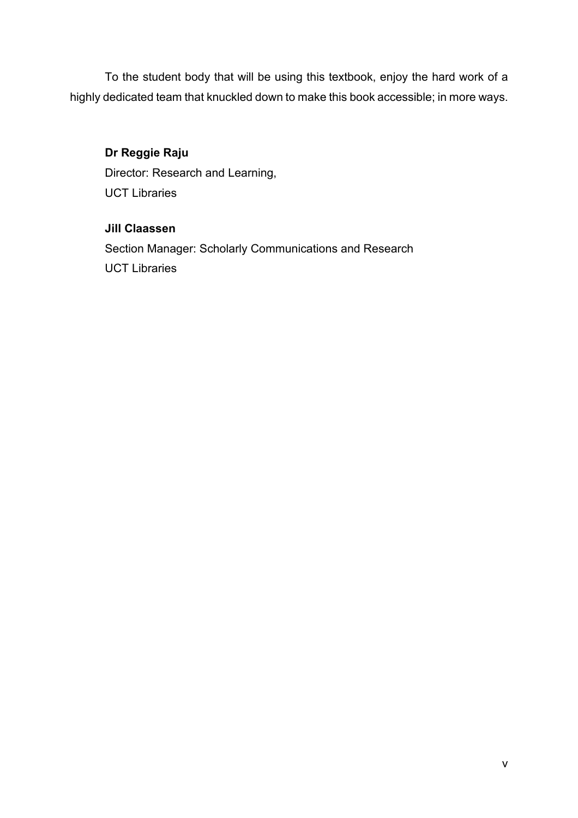To the student body that will be using this textbook, enjoy the hard work of a highly dedicated team that knuckled down to make this book accessible; in more ways.

#### **Dr Reggie Raju**

Director: Research and Learning, UCT Libraries

#### **Jill Claassen**

Section Manager: Scholarly Communications and Research UCT Libraries